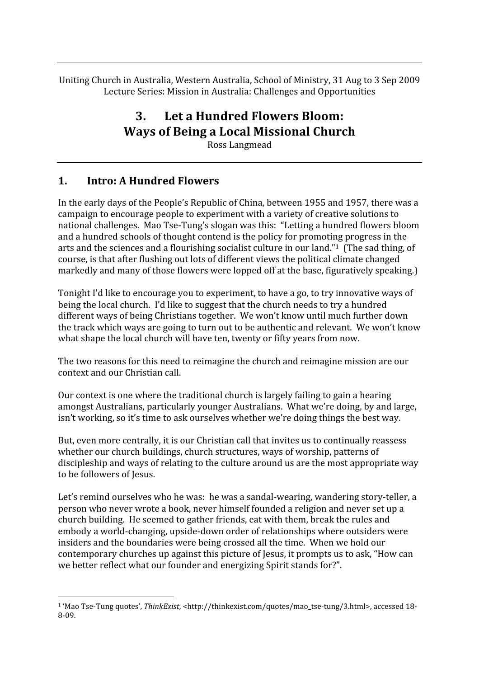Uniting Church in Australia, Western Australia, School of Ministry, 31 Aug to 3 Sep 2009 Lecture
Series:
Mission
in
Australia:
Challenges
and
Opportunities

# **3. Let
a
Hundred
Flowers
Bloom: Ways
of
Being
a
Local
Missional
Church**

Ross
Langmead

#### **1. Intro:
A
Hundred
Flowers**

In the early days of the People's Republic of China, between 1955 and 1957, there was a campaign
to
encourage
people
to
experiment
with
a
variety
of
creative
solutions
to national
challenges.

Mao
Tse‐Tung's
slogan
was
this:

"Letting
a
hundred
flowers
bloom and a hundred schools of thought contend is the policy for promoting progress in the arts
and
the
sciences
and
a
flourishing
socialist
culture
in
our
land."1

(The
sad
thing,
of course,
is
that
after
flushing
out
lots
of
different
views
the
political
climate
changed markedly
and
many
of
those
flowers
were
lopped
off
at
the
base,
figuratively
speaking.)

Tonight I'd like to encourage you to experiment, to have a go, to try innovative ways of being
the
local
church.

I'd
like
to
suggest
that
the
church
needs
to
try
a
hundred different
ways
of
being
Christians
together.

We
won't
know
until
much
further
down the
track
which
ways
are
going
to
turn
out
to
be
authentic
and
relevant.

We
won't
know what shape the local church will have ten, twenty or fifty years from now.

The two reasons for this need to reimagine the church and reimagine mission are our context
and
our
Christian
call.

Our context is one where the traditional church is largely failing to gain a hearing amongst
Australians,
particularly
younger
Australians.

What
we're
doing,
by
and
large, isn't working, so it's time to ask ourselves whether we're doing things the best way.

But, even more centrally, it is our Christian call that invites us to continually reassess whether our church buildings, church structures, ways of worship, patterns of discipleship and ways of relating to the culture around us are the most appropriate way to be followers of Jesus.

Let's remind ourselves who he was: he was a sandal-wearing, wandering story-teller, a person
who
never
wrote
a
book,
never
himself
founded
a
religion
and
never
set
up
a church
building.

He
seemed
to
gather
friends,
eat
with
them,
break
the
rules
and embody
a
world‐changing,
upside‐down
order
of
relationships
where
outsiders
were insiders
and
the
boundaries
were
being
crossed
all
the
time.

When
we
hold
our contemporary
churches
up
against
this
picture
of
Jesus,
it
prompts
us
to
ask,
"How
can we
better
reflect
what
our
founder
and
energizing
Spirit
stands
for?".

<sup>&</sup>lt;sup>1</sup> 'Mao Tse-Tung quotes', ThinkExist, <http://thinkexist.com/quotes/mao\_tse-tung/3.html>, accessed 18-8‐09.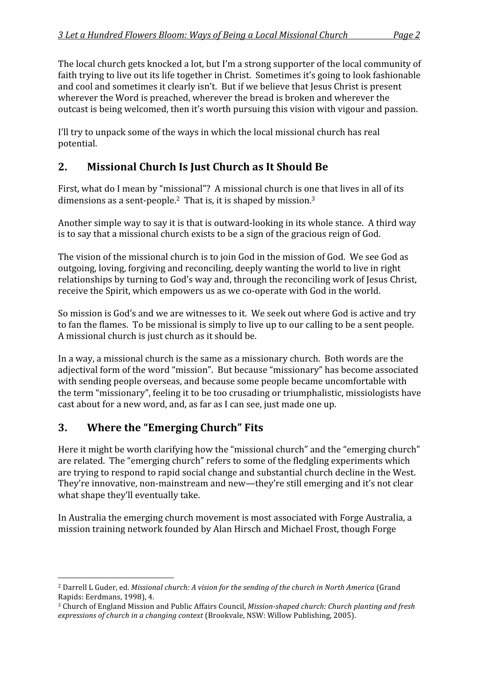The local church gets knocked a lot, but I'm a strong supporter of the local community of faith trying to live out its life together in Christ. Sometimes it's going to look fashionable and
cool
and
sometimes
it
clearly
isn't.

But
if
we
believe
that
Jesus
Christ
is
present wherever the Word is preached, wherever the bread is broken and wherever the outcast is being welcomed, then it's worth pursuing this vision with vigour and passion.

I'll try to unpack some of the ways in which the local missional church has real potential.

## **2. Missional
Church
Is
Just
Church
as
It
Should
Be**

First, what do I mean by "missional"? A missional church is one that lives in all of its dimensions as a sent-people.<sup>2</sup> That is, it is shaped by mission.<sup>3</sup>

Another simple way to say it is that is outward-looking in its whole stance. A third way is
to
say
that
a
missional
church
exists
to
be
a
sign
of
the
gracious
reign
of
God.

The vision of the missional church is to join God in the mission of God. We see God as outgoing,
loving,
forgiving
and
reconciling,
deeply
wanting
the
world
to
live
in
right relationships
by
turning
to
God's
way
and,
through
the
reconciling
work
of
Jesus
Christ, receive the Spirit, which empowers us as we co-operate with God in the world.

So mission is God's and we are witnesses to it. We seek out where God is active and try to fan the flames. To be missional is simply to live up to our calling to be a sent people. A
missional
church
is
just
church
as
it
should
be.

In a way, a missional church is the same as a missionary church. Both words are the adjectival form of the word "mission". But because "missionary" has become associated with sending people overseas, and because some people became uncomfortable with the
term
"missionary",
feeling
it
to
be
too
crusading
or
triumphalistic,
missiologists
have cast
about
for
a
new
word,
and,
as
far
as
I
can
see,
just
made
one
up.

## **3. Where
the
"Emerging
Church"
Fits**

Here it might be worth clarifying how the "missional church" and the "emerging church" are
related.

The
"emerging
church" refers
to
some
of
the
fledgling
experiments
which are
trying
to
respond
to rapid
social
change
and
substantial
church
decline
in
the
West. They're innovative, non-mainstream and new—they're still emerging and it's not clear what
shape
they'll
eventually
take.

In Australia the emerging church movement is most associated with Forge Australia, a mission
training
network founded
by
Alan
Hirsch
and
Michael
Frost,
though
Forge

 <sup>2</sup> Darrell L Guder, ed. Missional church: A vision for the sending of the church in North America (Grand Rapids:
Eerdmans,
1998),
4.

<sup>&</sup>lt;sup>3</sup> Church of England Mission and Public Affairs Council, *Mission-shaped church: Church planting and fresh* expressions of church in a changing context (Brookvale, NSW: Willow Publishing, 2005).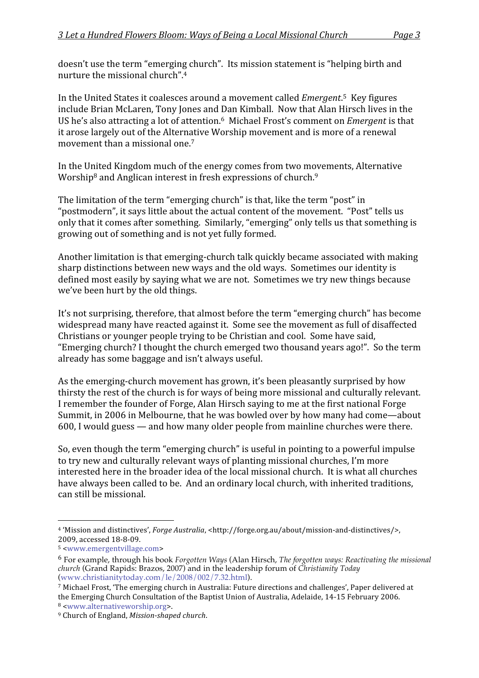doesn't
use
the
term
"emerging
church".

Its
mission
statement
is
"helping
birth
and nurture
the
missional
church". 4

In the United States it coalesces around a movement called *Emergent*<sup>5</sup> Key figures include
Brian
McLaren,
Tony
Jones
and
Dan
Kimball.

Now
that
Alan
Hirsch
lives
in
the US he's also attracting a lot of attention.<sup>6</sup> Michael Frost's comment on *Emergent* is that it
arose
largely
out
of
the
Alternative
Worship
movement
and
is
more
of
a
renewal movement than a missional one.<sup>7</sup>

In
the
United
Kingdom
much
of
the
energy
comes
from
two
movements,
Alternative Worship<sup>8</sup> and Anglican interest in fresh expressions of church.<sup>9</sup>

The limitation of the term "emerging church" is that, like the term "post" in "postmodern", it says little about the actual content of the movement. "Post" tells us only that it comes after something. Similarly, "emerging" only tells us that something is growing
out
of
something
and
is
not
yet
fully
formed.

Another
limitation
is
that
emerging‐church
talk
quickly
became
associated
with
making sharp
distinctions
between
new
ways
and
the
old
ways.

Sometimes
our
identity
is defined most easily by saying what we are not. Sometimes we try new things because we've
been
hurt
by
the
old
things.

It's not surprising, therefore, that almost before the term "emerging church" has become widespread
many
have
reacted
against
it.

Some
see
the
movement
as
full
of
disaffected Christians
or
younger
people
trying
to
be
Christian
and
cool.

Some
have
said, "Emerging church? I thought the church emerged two thousand years ago!". So the term already
has
some
baggage
and
isn't
always
useful.

As the emerging-church movement has grown, it's been pleasantly surprised by how thirsty the rest of the church is for ways of being more missional and culturally relevant. I remember the founder of Forge, Alan Hirsch saying to me at the first national Forge Summit,
in
2006
in
Melbourne,
that
he
was
bowled
over
by
how
many
had
come—about 600,
I
would
guess
—
and
how
many
older
people
from
mainline
churches
were
there.

So,
even
though
the
term
"emerging
church"
is
useful
in
pointing
to
a
powerful
impulse to
try
new
and
culturally
relevant
ways
of
planting
missional
churches,
I'm
more interested here in the broader idea of the local missional church. It is what all churches have always been called to be. And an ordinary local church, with inherited traditions, can
still
be
missional.

<sup>&</sup>lt;sup>4</sup> 'Mission and distinctives', *Forge Australia*, <http://forge.org.au/about/mission-and-distinctives/>, 2009,
accessed
18‐8‐09.

<sup>5
&</sup>lt;www.emergentvillage.com>

<sup>6</sup> For example, through his book *Forgotten Ways* (Alan Hirsch, *The forgotten ways: Reactivating the missional church* (Grand Rapids: Brazos, 2007) and in the leadership forum of *Christianity Today* (www.christianitytoday.com/le/2008/002/7.32.html).

<sup>&</sup>lt;sup>7</sup> Michael Frost, 'The emerging church in Australia: Future directions and challenges', Paper delivered at the Emerging Church Consultation of the Baptist Union of Australia, Adelaide, 14-15 February 2006.

<sup>8
&</sup>lt;www.alternativeworship.org>.

<sup>&</sup>lt;sup>9</sup> Church of England, Mission-shaped church.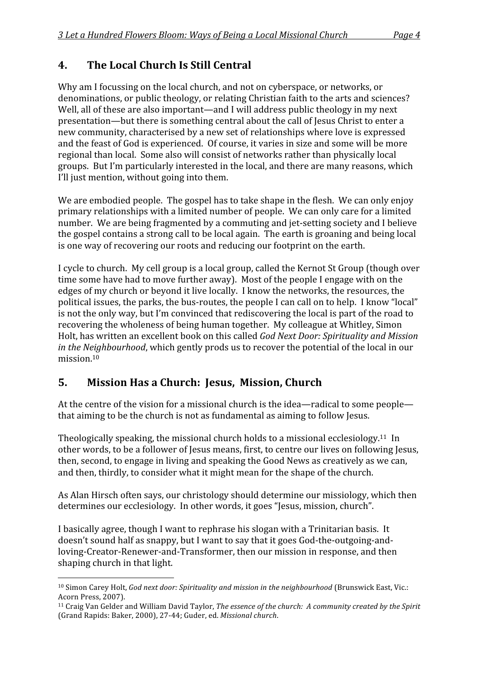## **4. The
Local
Church
Is
Still
Central**

Why am I focussing on the local church, and not on cyberspace, or networks, or denominations, or public theology, or relating Christian faith to the arts and sciences? Well, all of these are also important—and I will address public theology in my next presentation—but
there
is
something
central
about
the
call
of
Jesus
Christ
to
enter
a new
community,
characterised
by
a
new
set
of
relationships
where
love
is
expressed and
the
feast
of
God
is
experienced.

Of
course,
it
varies
in
size
and
some
will
be
more regional
than
local.

Some
also
will
consist
of
networks
rather
than
physically
local groups.

But
I'm
particularly
interested
in
the
local,
and
there
are
many
reasons,
which I'll just mention, without going into them.

We are embodied people. The gospel has to take shape in the flesh. We can only enjoy primary
relationships
with
a
limited
number
of
people.

We
can
only
care
for
a
limited number.

We
are
being
fragmented
by
a
commuting
and
jet‐setting
society
and
I
believe the gospel contains a strong call to be local again. The earth is groaning and being local is
one
way
of
recovering
our
roots
and
reducing
our
footprint
on
the
earth.

I cycle to church. My cell group is a local group, called the Kernot St Group (though over time some have had to move further away). Most of the people I engage with on the edges of my church or beyond it live locally. I know the networks, the resources, the political issues, the parks, the bus-routes, the people I can call on to help. I know "local" is not the only way, but I'm convinced that rediscovering the local is part of the road to recovering
the
wholeness
of
being
human
together.

My
colleague
at
Whitley,
Simon Holt,
has
written
an
excellent
book
on
this
called *God
Next
Door:
Spirituality
and
Mission*  in the Neighbourhood, which gently prods us to recover the potential of the local in our mission 10

#### **5. Mission
Has
a
Church:

Jesus,

Mission,
Church**

At the centre of the vision for a missional church is the idea—radical to some people that
aiming
to
be
the
church
is
not
as
fundamental
as
aiming
to
follow
Jesus.

Theologically speaking, the missional church holds to a missional ecclesiology.<sup>11</sup> In other words, to be a follower of Jesus means, first, to centre our lives on following Jesus, then,
second,
to
engage
in
living
and
speaking
the
Good
News
as
creatively
as
we
can, and
then,
thirdly,
to
consider
what
it
might
mean
for
the
shape
of
the
church.

As
Alan
Hirsch
often
says,
our
christology
should
determine
our
missiology,
which
then determines
our
ecclesiology.

In
other
words,
it
goes
"Jesus,
mission,
church".

I basically agree, though I want to rephrase his slogan with a Trinitarian basis. It doesn't
sound
half
as
snappy,
but
I
want
to
say
that
it
goes
God‐the‐outgoing‐and‐ loving‐Creator‐Renewer‐and‐Transformer,
then
our
mission
in
response,
and
then shaping
church
in
that
light.

<sup>&</sup>lt;sup>10</sup> Simon Carey Holt, God next door: Spirituality and mission in the neighbourhood (Brunswick East, Vic.: Acorn
Press,
2007).

<sup>&</sup>lt;sup>11</sup> Craig Van Gelder and William David Taylor, *The essence of the church: A community created by the Spirit* (Grand
Rapids:
Baker,
2000),
27‐44;
Guder,
ed. *Missional
church*.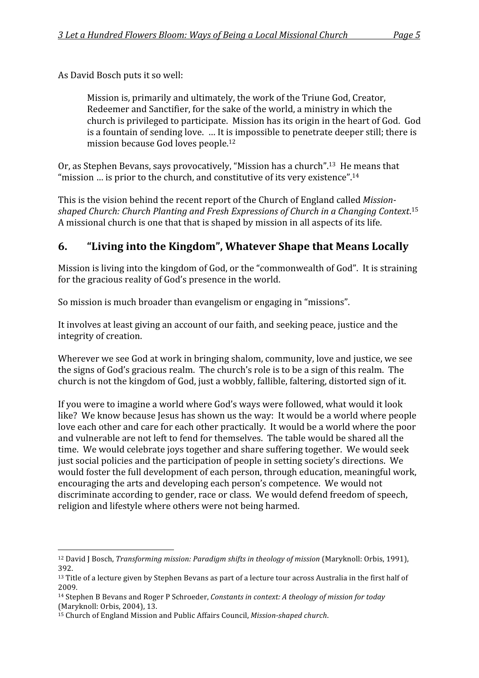As
David
Bosch
puts
it
so
well:

Mission is, primarily and ultimately, the work of the Triune God, Creator, Redeemer
and
Sanctifier,
for
the
sake
of
the
world,
a
ministry
in
which
the church
is
privileged
to
participate.

Mission
has
its
origin
in
the
heart
of
God.

God is
a
fountain
of
sending
love.

…
It
is
impossible
to
penetrate
deeper
still;
there
is mission
because
God
loves
people.12

Or, as Stephen Bevans, says provocatively, "Mission has a church", <sup>13</sup> He means that "mission ... is prior to the church, and constitutive of its very existence".<sup>14</sup>

This
is
the
vision
behind
the
recent
report
of
the
Church
of
England
called*Mission*shaped Church: Church Planting and Fresh Expressions of Church in a Changing Context.<sup>15</sup> A
missional
church
is
one
that
that
is
shaped
by
mission
in
all
aspects
of
its
life.

## **6. "Living
into
the
Kingdom",
Whatever
Shape
that
Means
Locally**

Mission is living into the kingdom of God, or the "commonwealth of God". It is straining for
the
gracious
reality
of
God's
presence
in
the
world.

So
mission
is
much
broader
than
evangelism
or
engaging
in
"missions".

It involves at least giving an account of our faith, and seeking peace, justice and the integrity
of
creation.

Wherever we see God at work in bringing shalom, community, love and justice, we see the signs of God's gracious realm. The church's role is to be a sign of this realm. The church
is
not
the
kingdom
of
God,
just
a
wobbly,
fallible,
faltering,
distorted
sign
of
it.

If you were to imagine a world where God's ways were followed, what would it look like? We know because Jesus has shown us the way: It would be a world where people love each other and care for each other practically. It would be a world where the poor and vulnerable are not left to fend for themselves. The table would be shared all the time.

We
would
celebrate
joys
together
and
share
suffering
together.

We
would
seek just social policies and the participation of people in setting society's directions. We would foster the full development of each person, through education, meaningful work, encouraging
the
arts
and
developing
each
person's
competence.

We
would
not discriminate
according
to
gender,
race
or
class.

We
would
defend
freedom
of
speech, religion
and
lifestyle
where
others
were
not
being
harmed.

 <sup>12</sup> David J Bosch, *Transforming mission: Paradigm shifts in theology of mission* (Maryknoll: Orbis, 1991), 392.

<sup>&</sup>lt;sup>13</sup> Title of a lecture given by Stephen Bevans as part of a lecture tour across Australia in the first half of 2009.

<sup>&</sup>lt;sup>14</sup> Stephen B Bevans and Roger P Schroeder, Constants in context: A theology of mission for today (Maryknoll:
Orbis,
2004),
13.

<sup>&</sup>lt;sup>15</sup> Church of England Mission and Public Affairs Council, *Mission-shaped church*.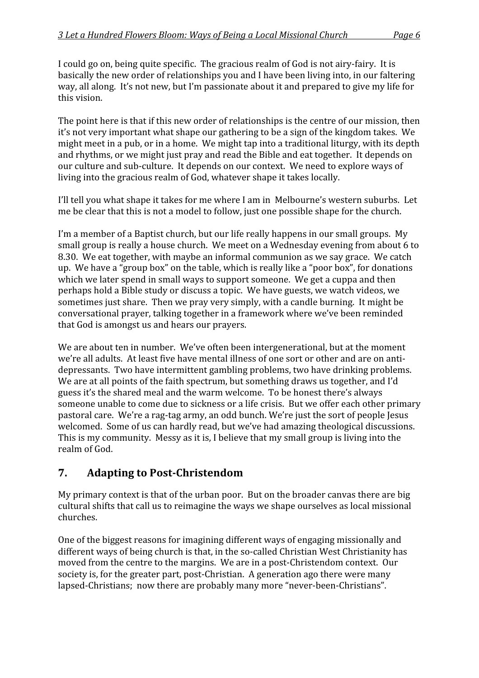I could go on, being quite specific. The gracious realm of God is not airy-fairy. It is basically
the
new
order
of
relationships
you
and
I
have
been
living
into,
in
our
faltering way, all along. It's not new, but I'm passionate about it and prepared to give my life for this
vision.

The point here is that if this new order of relationships is the centre of our mission, then it's
not
very
important
what
shape
our
gathering
to
be
a
sign
of
the
kingdom
takes.

We might meet in a pub, or in a home. We might tap into a traditional liturgy, with its depth and rhythms, or we might just pray and read the Bible and eat together. It depends on our culture and sub-culture. It depends on our context. We need to explore ways of living into the gracious realm of God, whatever shape it takes locally.

I'll tell you what shape it takes for me where I am in Melbourne's western suburbs. Let me
be
clear
that
this
is
not
a
model
to
follow,
just
one
possible
shape
for
the
church.

I'm a member of a Baptist church, but our life really happens in our small groups. My small group is really a house church. We meet on a Wednesday evening from about 6 to 8.30.

We
eat
together,
with
maybe
an
informal
communion
as
we
say
grace.

We
catch up. We have a "group box" on the table, which is really like a "poor box", for donations which we later spend in small ways to support someone. We get a cuppa and then perhaps
hold
a
Bible
study
or
discuss
a
topic.

We
have
guests,
we
watch
videos,
we sometimes just share. Then we pray very simply, with a candle burning. It might be conversational
prayer,
talking
together
in
a
framework
where
we've
been
reminded that
God
is
amongst
us
and
hears
our
prayers.

We are about ten in number. We've often been intergenerational, but at the moment we're all adults. At least five have mental illness of one sort or other and are on antidepressants. Two have intermittent gambling problems, two have drinking problems. We are at all points of the faith spectrum, but something draws us together, and I'd guess
it's
the
shared
meal
and
the
warm
welcome.

To
be
honest
there's
always someone unable to come due to sickness or a life crisis. But we offer each other primary pastoral
care.

We're
a
rag‐tag
army,
an
odd
bunch.
We're
just
the
sort
of
people
Jesus welcomed. Some of us can hardly read, but we've had amazing theological discussions. This is my community. Messy as it is, I believe that my small group is living into the realm
of
God.

#### **7. Adapting to Post-Christendom**

My primary context is that of the urban poor. But on the broader canvas there are big cultural
shifts
that
call
us
to
reimagine
the
ways
we
shape
ourselves
as
local
missional churches.

One
of
the
biggest
reasons
for
imagining
different
ways
of
engaging
missionally
and different ways of being church is that, in the so-called Christian West Christianity has moved from the centre to the margins. We are in a post-Christendom context. Our society
is,
for
the
greater
part,
post‐Christian.

A
generation
ago
there
were
many lapsed-Christians; now there are probably many more "never-been-Christians".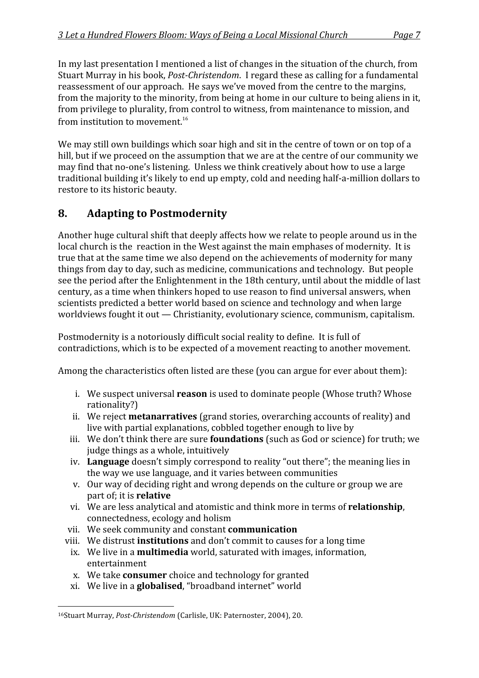In my last presentation I mentioned a list of changes in the situation of the church, from Stuart Murray in his book, *Post-Christendom*. I regard these as calling for a fundamental reassessment of our approach. He says we've moved from the centre to the margins, from the majority to the minority, from being at home in our culture to being aliens in it, from privilege to plurality, from control to witness, from maintenance to mission, and from institution to movement.<sup>16</sup>

We may still own buildings which soar high and sit in the centre of town or on top of a hill, but if we proceed on the assumption that we are at the centre of our community we may
find
that
no‐one's
listening.

Unless
we
think
creatively
about
how
to
use
a
large traditional
building
it's
likely
to
end
up
empty,
cold
and
needing
half‐a‐million
dollars
to restore
to
its
historic
beauty.

## **8. Adapting
to
Postmodernity**

Another
huge
cultural
shift
that
deeply
affects
how
we relate
to
people
around
us
in
the local church is the reaction in the West against the main emphases of modernity. It is true
that
at
the
same
time
we
also
depend
on
the
achievements
of
modernity
for
many things
from
day
to
day,
such
as
medicine,
communications
and
technology.

But
people see the period after the Enlightenment in the 18th century, until about the middle of last century,
as
a
time
when
thinkers
hoped
to
use
reason
to
find
universal
answers,
when scientists
predicted
a
better
world
based
on
science
and
technology
and
when
large worldviews fought it out — Christianity, evolutionary science, communism, capitalism.

Postmodernity is a notoriously difficult social reality to define. It is full of contradictions,
which
is
to
be
expected
of
a
movement
reacting
to
another
movement.

Among the characteristics often listed are these (you can argue for ever about them):

- i. We suspect universal **reason** is used to dominate people (Whose truth? Whose rationality?)
- ii. We reject **metanarratives** (grand stories, overarching accounts of reality) and live with partial explanations, cobbled together enough to live by
- iii. We don't think there are sure **foundations** (such as God or science) for truth; we judge
things
as
a
whole,
intuitively
- iv. Language doesn't simply correspond to reality "out there"; the meaning lies in the
way
we
use
language,
and
it
varies
between
communities
- v. Our
way
of
deciding
right
and
wrong
depends
on
the
culture
or
group
we
are part
of;
it
is **relative**
- vi. We
are
less
analytical
and
atomistic
and
think
more
in
terms
of **relationship**, connectedness,
ecology
and
holism
- vii. We
seek
community
and
constant **communication**
- viii. We distrust **institutions** and don't commit to causes for a long time
- ix. We live in a **multimedia** world, saturated with images, information, entertainment
- x. We
take **consumer**choice
and
technology
for
granted
- xi. We
live
in
a **globalised**,
"broadband
internet"
world

<sup>&</sup>lt;sup>16</sup>Stuart Murray, Post-Christendom (Carlisle, UK: Paternoster, 2004), 20.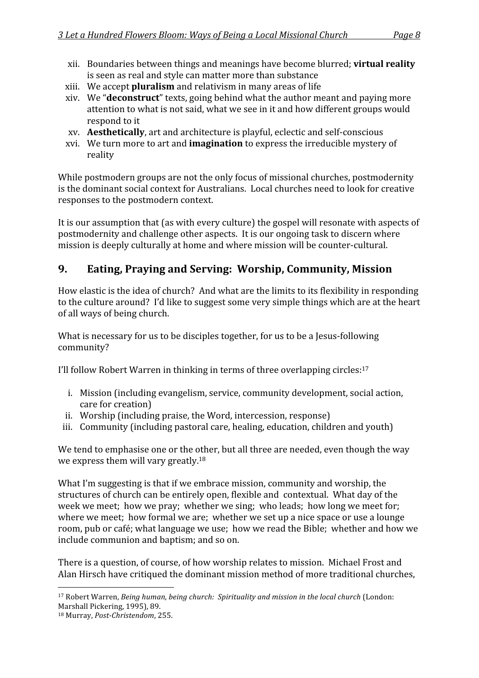- xii. Boundaries
between
things
and
meanings
have
become
blurred; **virtual
reality** is
seen
as
real
and
style
can
matter
more
than
substance
- xiii. We
accept **pluralism**and
relativism
in
many
areas
of
life
- xiv. We
"**deconstruct**"
texts,
going
behind
what
the
author
meant
and
paying
more attention
to
what
is
not
said,
what
we
see
in
it
and
how
different
groups
would respond
to
it
- xv. **Aesthetically**,
art
and
architecture
is
playful,
eclectic
and
self‐conscious
- xvi. We
turn
more
to
art
and **imagination**to
express
the
irreducible
mystery
of reality

While postmodern groups are not the only focus of missional churches, postmodernity is
the
dominant
social
context
for
Australians.

Local
churches
need
to
look
for
creative responses
to
the
postmodern
context.

It is our assumption that (as with every culture) the gospel will resonate with aspects of postmodernity
and
challenge
other
aspects.

It
is
our
ongoing
task
to
discern
where mission
is
deeply
culturally
at
home
and
where
mission
will
be
counter‐cultural.

### **9. Eating,
Praying
and
Serving:

Worship,
Community,
Mission**

How elastic is the idea of church? And what are the limits to its flexibility in responding to the culture around? I'd like to suggest some very simple things which are at the heart of
all
ways
of
being
church.

What is necessary for us to be disciples together, for us to be a Jesus-following community?

I'll follow Robert Warren in thinking in terms of three overlapping circles:<sup>17</sup>

- i. Mission
(including
evangelism,
service,
community
development,
social
action, care
for
creation)
- ii. Worship
(including
praise,
the
Word,
intercession,
response)
- iii. Community (including pastoral care, healing, education, children and youth)

We tend to emphasise one or the other, but all three are needed, even though the way we express them will vary greatly.<sup>18</sup>

What I'm suggesting is that if we embrace mission, community and worship, the structures of church can be entirely open, flexible and contextual. What day of the week we meet; how we pray; whether we sing; who leads; how long we meet for; where we meet; how formal we are; whether we set up a nice space or use a lounge room, pub or café; what language we use; how we read the Bible; whether and how we include
communion
and
baptism;
and
so
on.

There is a question, of course, of how worship relates to mission. Michael Frost and Alan
Hirsch
have
critiqued
the
dominant
mission
method
of
more
traditional
churches,

 <sup>17</sup> Robert Warren, *Being human, being church: Spirituality and mission in the local church* (London: Marshall
Pickering,
1995),
89.

<sup>&</sup>lt;sup>18</sup> Murray, *Post-Christendom*, 255.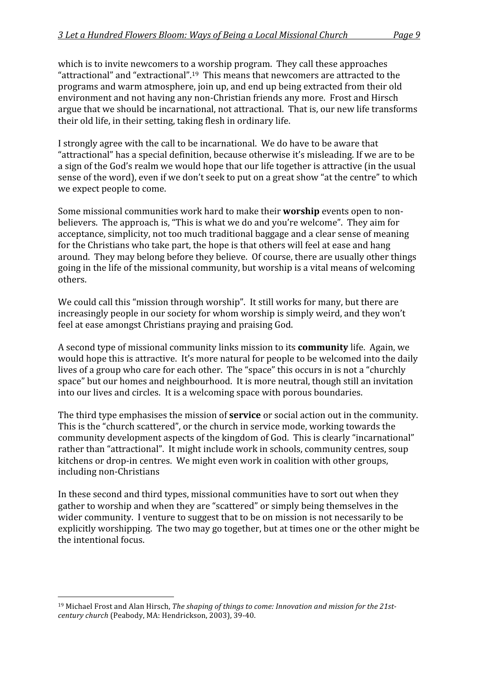which is to invite new comers to a worship program. They call these approaches "attractional" and "extractional".<sup>19</sup> This means that newcomers are attracted to the programs
and
warm
atmosphere,
join
up,
and
end
up
being
extracted
from
their
old environment and not having any non-Christian friends any more. Frost and Hirsch argue
that
we
should
be
incarnational,
not
attractional.

That
is,
our
new
life
transforms their
old
life,
in
their
setting,
taking
flesh
in
ordinary
life.

I strongly agree with the call to be incarnational. We do have to be aware that "attractional" has a special definition, because otherwise it's misleading. If we are to be a sign of the God's realm we would hope that our life together is attractive (in the usual sense of the word), even if we don't seek to put on a great show "at the centre" to which we
expect
people
to
come.

Some missional communities work hard to make their **worship** events open to nonbelievers. The approach is, "This is what we do and you're welcome". They aim for acceptance,
simplicity,
not
too
much
traditional
baggage
and
a
clear
sense
of
meaning for the Christians who take part, the hope is that others will feel at ease and hang around.

They
may
belong
before
they
believe.

Of
course,
there
are
usually
other
things going
in
the
life
of
the
missional
community,
but
worship
is
a
vital
means
of
welcoming others.

We could call this "mission through worship". It still works for many, but there are increasingly
people
in
our
society
for
whom
worship
is
simply
weird,
and
they
won't feel
at
ease
amongst
Christians
praying
and
praising
God.

A second type of missional community links mission to its **community** life. Again, we would hope this is attractive. It's more natural for people to be welcomed into the daily lives of a group who care for each other. The "space" this occurs in is not a "churchly space" but our homes and neighbourhood. It is more neutral, though still an invitation into
our
lives
and
circles.

It
is
a
welcoming
space
with
porous
boundaries.

The third type emphasises the mission of **service** or social action out in the community. This
is
the
"church
scattered",
or
the
church
in
service
mode,
working
towards
the community
development
aspects
of
the
kingdom
of
God.

This
is
clearly
"incarnational" rather
than
"attractional".

It
might
include
work
in
schools,
community
centres,
soup kitchens or drop-in centres. We might even work in coalition with other groups, including
non‐Christians

In these second and third types, missional communities have to sort out when they gather
to
worship
and
when
they
are
"scattered"
or
simply
being
themselves
in
the wider community. I venture to suggest that to be on mission is not necessarily to be explicitly
worshipping.

The
two
may
go
together,
but
at
times
one
or
the
other
might
be the
intentional
focus.

<sup>&</sup>lt;sup>19</sup> Michael Frost and Alan Hirsch, *The shaping of things to come: Innovation and mission for the 21stcentury
church*(Peabody,
MA:
Hendrickson,
2003),
39‐40.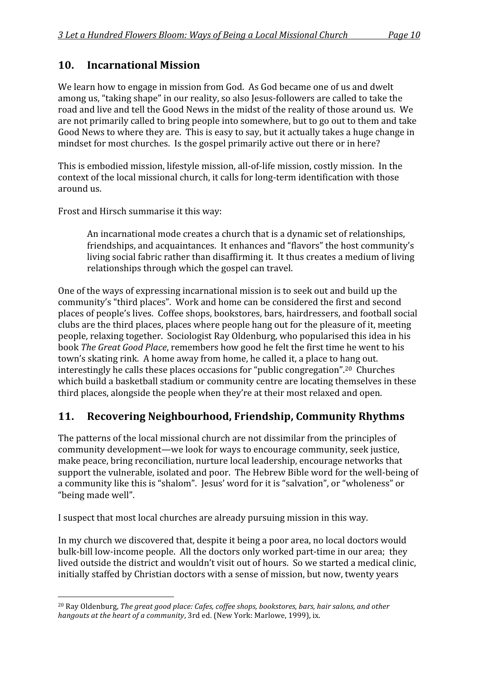#### **10. Incarnational
Mission**

We learn how to engage in mission from God. As God became one of us and dwelt among
us,
"taking
shape"
in
our
reality,
so
also
Jesus‐followers
are
called
to
take
the road and live and tell the Good News in the midst of the reality of those around us. We are not primarily called to bring people into somewhere, but to go out to them and take Good News to where they are. This is easy to say, but it actually takes a huge change in mindset for most churches. Is the gospel primarily active out there or in here?

This is embodied mission, lifestyle mission, all-of-life mission, costly mission. In the context
of
the
local
missional
church,
it
calls
for
long‐term
identification
with
those around
us.

Frost
and
Hirsch
summarise
it
this
way:

An
incarnational
mode
creates
a
church
that
is
a
dynamic
set
of
relationships, friendships,
and
acquaintances.

It
enhances
and
"flavors"
the
host
community's living social fabric rather than disaffirming it. It thus creates a medium of living relationships
through
which
the
gospel
can
travel.

One of the ways of expressing incarnational mission is to seek out and build up the community's
"third
places".

Work
and
home
can
be
considered
the
first
and
second places
of
people's
lives.

Coffee
shops,
bookstores,
bars,
hairdressers,
and
football
social clubs
are
the
third
places,
places
where
people
hang
out
for
the
pleasure
of
it,
meeting people,
relaxing
together.

Sociologist
Ray
Oldenburg,
who
popularised
this
idea
in
his book *The Great Good Place*, remembers how good he felt the first time he went to his town's skating rink. A home away from home, he called it, a place to hang out. interestingly
he
calls
these
places
occasions
for
"public
congregation".20

Churches which build a basketball stadium or community centre are locating themselves in these third places, alongside the people when they're at their most relaxed and open.

#### **11. Recovering
Neighbourhood,
Friendship,
Community
Rhythms**

The
patterns
of
the
local
missional
church
are
not
dissimilar
from
the
principles
of community
development—we
look
for
ways
to
encourage
community,
seek
justice, make
peace,
bring
reconciliation,
nurture
local
leadership,
encourage
networks
that support the vulnerable, isolated and poor. The Hebrew Bible word for the well-being of a community like this is "shalom". Jesus' word for it is "salvation", or "wholeness" or "being
made
well".

I suspect that most local churches are already pursuing mission in this way.

In my church we discovered that, despite it being a poor area, no local doctors would bulk-bill low-income people. All the doctors only worked part-time in our area; they lived outside the district and wouldn't visit out of hours. So we started a medical clinic, initially staffed by Christian doctors with a sense of mission, but now, twenty years

<sup>&</sup>lt;sup>20</sup> Ray Oldenburg, The great good place: Cafes, coffee shops, bookstores, bars, hair salons, and other hangouts at the heart of a community, 3rd ed. (New York: Marlowe, 1999), ix.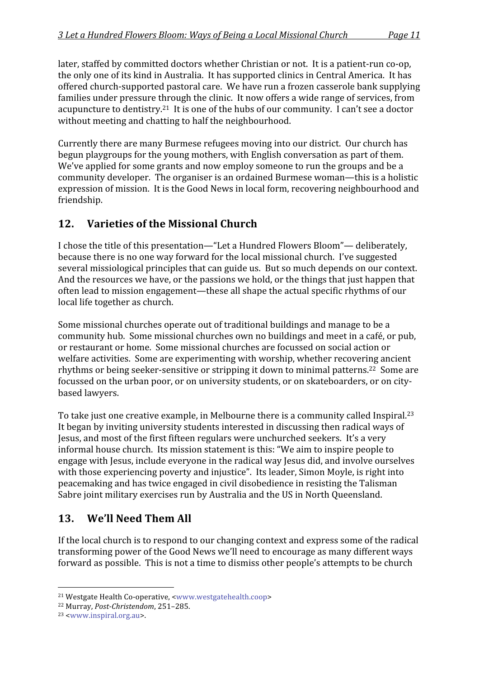later, staffed by committed doctors whether Christian or not. It is a patient-run co-op, the only one of its kind in Australia. It has supported clinics in Central America. It has offered
church‐supported
pastoral
care.

We
have
run
a
frozen
casserole
bank
supplying families under pressure through the clinic. It now offers a wide range of services, from acupuncture to dentistry.<sup>21</sup> It is one of the hubs of our community. I can't see a doctor without meeting and chatting to half the neighbourhood.

Currently
there
are
many
Burmese
refugees
moving
into
our
district.

Our
church
has begun
playgroups
for
the
young
mothers,
with
English
conversation
as
part
of
them. We've applied for some grants and now employ someone to run the groups and be a community
developer.

The
organiser
is
an
ordained
Burmese
woman—this
is
a
holistic expression of mission. It is the Good News in local form, recovering neighbourhood and friendship.

## **12. Varieties
of
the
Missional
Church**

I chose the title of this presentation—"Let a Hundred Flowers Bloom"— deliberately, because
there
is
no
one
way
forward
for
the
local
missional
church.

I've
suggested several
missiological
principles
that
can
guide
us.

But
so
much
depends
on
our
context. And the resources we have, or the passions we hold, or the things that just happen that often
lead
to
mission
engagement—these
all
shape
the
actual
specific
rhythms
of
our local
life
together
as
church.

Some
missional
churches
operate
out
of
traditional
buildings
and
manage
to
be
a community
hub.

Some
missional
churches
own
no
buildings
and
meet
in
a
café,
or
pub, or
restaurant
or
home.

Some
missional
churches
are
focussed
on
social
action
or welfare activities. Some are experimenting with worship, whether recovering ancient rhythms or being seeker-sensitive or stripping it down to minimal patterns.<sup>22</sup> Some are focussed on the urban poor, or on university students, or on skateboarders, or on citybased
lawyers.

To take just one creative example, in Melbourne there is a community called Inspiral.<sup>23</sup> It began by inviting university students interested in discussing then radical ways of Jesus,
and
most
of
the
first
fifteen
regulars
were
unchurched
seekers.

It's
a
very informal
house
church.

Its
mission
statement
is
this:
"We
aim
to
inspire
people
to engage
with
Jesus,
include
everyone
in
the
radical
way
Jesus
did,
and
involve
ourselves with those experiencing poverty and injustice". Its leader, Simon Moyle, is right into peacemaking
and
has
twice
engaged
in
civil
disobedience
in
resisting
the
Talisman Sabre
joint
military
exercises
run
by
Australia
and
the
US
in
North
Queensland.

## **13. We'll
Need
Them
All**

If the local church is to respond to our changing context and express some of the radical transforming
power
of
the
Good
News
we'll
need
to
encourage
as
many
different
ways forward as possible. This is not a time to dismiss other people's attempts to be church

<sup>21</sup>Westgate
Health
Co‐operative,
<www.westgatehealth.coop>

<sup>&</sup>lt;sup>22</sup> Murray, *Post-Christendom*, 251-285.

<sup>23
&</sup>lt;www.inspiral.org.au>.